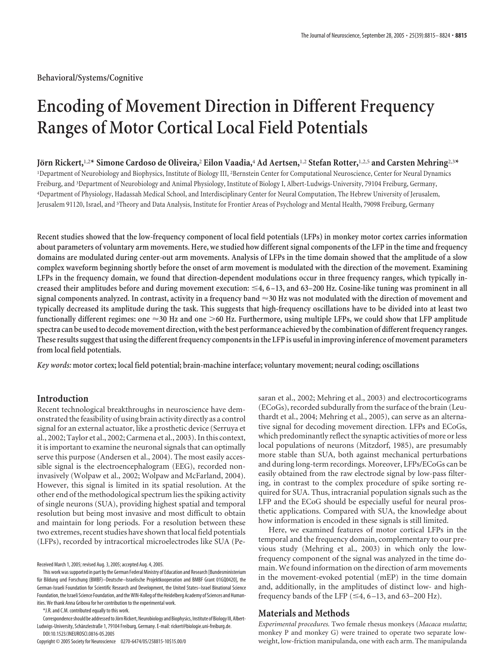# **Encoding of Movement Direction in Different Frequency Ranges of Motor Cortical Local Field Potentials**

**Jo¨rn Rickert,**1,2**\* Simone Cardoso de Oliveira,**<sup>2</sup> **Eilon Vaadia,**<sup>4</sup> **Ad Aertsen,**1,2 **Stefan Rotter,**1,2,5 **and Carsten Mehring**2,3**\*** <sup>1</sup>Department of Neurobiology and Biophysics, Institute of Biology III, <sup>2</sup>Bernstein Center for Computational Neuroscience, Center for Neural Dynamics Freiburg, and <sup>3</sup> Department of Neurobiology and Animal Physiology, Institute of Biology I, Albert-Ludwigs-University, 79104 Freiburg, Germany, 4 Department of Physiology, Hadassah Medical School, and Interdisciplinary Center for Neural Computation, The Hebrew University of Jerusalem, Jerusalem 91120, Israel, and <sup>s</sup>Theory and Data Analysis, Institute for Frontier Areas of Psychology and Mental Health, 79098 Freiburg, Germany

**Recent studies showed that the low-frequency component of local field potentials (LFPs) in monkey motor cortex carries information about parameters of voluntary arm movements. Here, we studied how different signal components of the LFP in the time and frequency domains are modulated during center-out arm movements. Analysis of LFPs in the time domain showed that the amplitude of a slow complex waveform beginning shortly before the onset of arm movement is modulated with the direction of the movement. Examining LFPs in the frequency domain, we found that direction-dependent modulations occur in three frequency ranges, which typically increased their amplitudes before and during movement execution: 4, 6 –13, and 63–200 Hz. Cosine-like tuning was prominent in all signal components analyzed. In contrast, activity in a frequency band 30 Hz was not modulated with the direction of movement and typically decreased its amplitude during the task. This suggests that high-frequency oscillations have to be divided into at least two functionally different regimes: one 30 Hz and one** -**60 Hz. Furthermore, using multiple LFPs, we could show that LFP amplitude** spectra can be used to decode movement direction, with the best performance achieved by the combination of different frequency ranges. **These results suggestthat usingthe different frequency components inthe LFP is useful in improving inference of movement parameters from local field potentials.**

*Key words:* **motor cortex; local field potential; brain-machine interface; voluntary movement; neural coding; oscillations**

## **Introduction**

Recent technological breakthroughs in neuroscience have demonstrated the feasibility of using brain activity directly as a control signal for an external actuator, like a prosthetic device (Serruya et al., 2002; Taylor et al., 2002; Carmena et al., 2003). In this context, it is important to examine the neuronal signals that can optimally serve this purpose (Andersen et al., 2004). The most easily accessible signal is the electroencephalogram (EEG), recorded noninvasively (Wolpaw et al., 2002; Wolpaw and McFarland, 2004). However, this signal is limited in its spatial resolution. At the other end of the methodological spectrum lies the spiking activity of single neurons (SUA), providing highest spatial and temporal resolution but being most invasive and most difficult to obtain and maintain for long periods. For a resolution between these two extremes, recent studies have shown that local field potentials (LFPs), recorded by intracortical microelectrodes like SUA (Pe-

Received March 1, 2005; revised Aug. 3, 2005; accepted Aug. 4, 2005.

\*J.R. and C.M. contributed equally to this work.

Correspondence should be addressed to Jörn Rickert, Neurobiology and Biophysics, Institute of Biology III, Albert-Ludwigs-University, Schänzlestraße 1, 79104 Freiburg, Germany. E-mail: rickert@biologie.uni-freiburg.de. DOI:10.1523/JNEUROSCI.0816-05.2005

Copyright © 2005 Society for Neuroscience 0270-6474/05/258815-10\$15.00/0

saran et al., 2002; Mehring et al., 2003) and electrocorticograms (ECoGs), recorded subdurally from the surface of the brain (Leuthardt et al., 2004; Mehring et al., 2005), can serve as an alternative signal for decoding movement direction. LFPs and ECoGs, which predominantly reflect the synaptic activities of more or less local populations of neurons (Mitzdorf, 1985), are presumably more stable than SUA, both against mechanical perturbations and during long-term recordings. Moreover, LFPs/ECoGs can be easily obtained from the raw electrode signal by low-pass filtering, in contrast to the complex procedure of spike sorting required for SUA. Thus, intracranial population signals such as the LFP and the ECoG should be especially useful for neural prosthetic applications. Compared with SUA, the knowledge about how information is encoded in these signals is still limited.

Here, we examined features of motor cortical LFPs in the temporal and the frequency domain, complementary to our previous study (Mehring et al., 2003) in which only the lowfrequency component of the signal was analyzed in the time domain. We found information on the direction of arm movements in the movement-evoked potential (mEP) in the time domain and, additionally, in the amplitudes of distinct low- and highfrequency bands of the LFP ( $\leq$ 4, 6–13, and 63–200 Hz).

## **Materials and Methods**

*Experimental procedures.* Two female rhesus monkeys (*Macaca mulatta*; monkey P and monkey G) were trained to operate two separate lowweight, low-friction manipulanda, one with each arm. The manipulanda

This work wassupported in part by the German Federal Ministry of Education and Research [Bundesministerium für Bildung und Forschung (BMBF)–Deutsche–Israelische Projektkooperation and BMBF Grant 01GQ0420], the German-Israeli Foundation for Scientific Research and Development, the United States–Israel Binational Science Foundation, the Israeli Science Foundation, and the WIN-Kolleg of the Heidelberg Academy of Sciences and Humanities. We thank Anna Gribova for her contribution to the experimental work.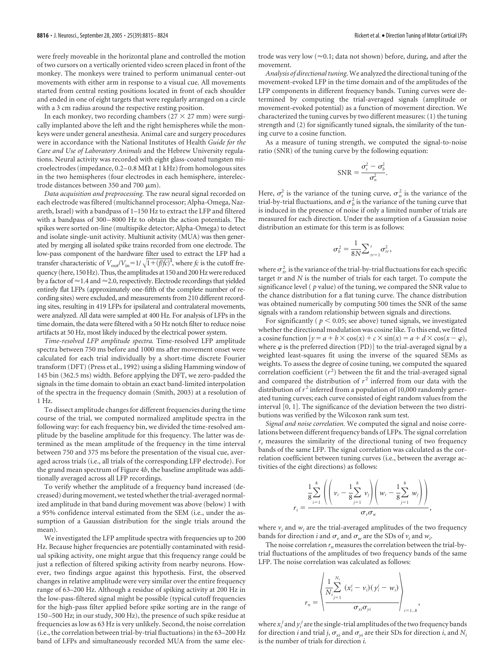were freely moveable in the horizontal plane and controlled the motion of two cursors on a vertically oriented video screen placed in front of the monkey. The monkeys were trained to perform unimanual center-out movements with either arm in response to a visual cue. All movements started from central resting positions located in front of each shoulder and ended in one of eight targets that were regularly arranged on a circle with a 3 cm radius around the respective resting position.

In each monkey, two recording chambers (27  $\times$  27 mm) were surgically implanted above the left and the right hemispheres while the monkeys were under general anesthesia. Animal care and surgery procedures were in accordance with the National Institutes of Health *Guide for the Care and Use of Laboratory Animals* and the Hebrew University regulations. Neural activity was recorded with eight glass-coated tungsten microelectrodes (impedance, 0.2–0.8 M $\Omega$  at 1 kHz) from homologous sites in the two hemispheres (four electrodes in each hemisphere, interelectrode distances between 350 and 700  $\mu$ m).

*Data acquisition and preprocessing.* The raw neural signal recorded on each electrode was filtered (multichannel processor; Alpha-Omega, Nazareth, Israel) with a bandpass of 1–150 Hz to extract the LFP and filtered with a bandpass of 300 – 8000 Hz to obtain the action potentials. The spikes were sorted on-line (multispike detector; Alpha-Omega) to detect and isolate single-unit activity. Multiunit activity (MUA) was then generated by merging all isolated spike trains recorded from one electrode. The low-pass component of the hardware filter used to extract the LFP had a transfer characteristic of  $V_{\text{out}}/V_{\text{in}} = 1/\sqrt{1 + (f/f_c)^4}$ , where *fc* is the cutoff frequency (here, 150 Hz). Thus, the amplitudes at 150 and 200 Hz were reduced by a factor of  $\approx$  1.4 and  $\approx$  2.0, respectively. Electrode recordings that yielded entirely flat LFPs (approximately one-fifth of the complete number of recording sites) were excluded, and measurements from 210 different recording sites, resulting in 419 LFPs for ipsilateral and contralateral movements, were analyzed. All data were sampled at 400 Hz. For analysis of LFPs in the time domain, the data were filtered with a 50 Hz notch filter to reduce noise artifacts at 50 Hz, most likely induced by the electrical power system.

*Time-resolved LFP amplitude spectra.* Time-resolved LFP amplitude spectra between 750 ms before and 1000 ms after movement onset were calculated for each trial individually by a short-time discrete Fourier transform (DFT) (Press et al., 1992) using a sliding Hamming window of 145 bin (362.5 ms) width. Before applying the DFT, we zero-padded the signals in the time domain to obtain an exact band-limited interpolation of the spectra in the frequency domain (Smith, 2003) at a resolution of 1 Hz.

To dissect amplitude changes for different frequencies during the time course of the trial, we computed normalized amplitude spectra in the following way: for each frequency bin, we divided the time-resolved amplitude by the baseline amplitude for this frequency. The latter was determined as the mean amplitude of the frequency in the time interval between 750 and 375 ms before the presentation of the visual cue, averaged across trials (i.e., all trials of the corresponding LFP electrode). For the grand mean spectrum of Figure 4*b*, the baseline amplitude was additionally averaged across all LFP recordings.

To verify whether the amplitude of a frequency band increased (decreased) during movement, we tested whether the trial-averaged normalized amplitude in that band during movement was above (below) 1 with a 95% confidence interval estimated from the SEM (i.e., under the assumption of a Gaussian distribution for the single trials around the mean).

We investigated the LFP amplitude spectra with frequencies up to 200 Hz. Because higher frequencies are potentially contaminated with residual spiking activity, one might argue that this frequency range could be just a reflection of filtered spiking activity from nearby neurons. However, two findings argue against this hypothesis. First, the observed changes in relative amplitude were very similar over the entire frequency range of 63–200 Hz. Although a residue of spiking activity at 200 Hz in the low-pass-filtered signal might be possible (typical cutoff frequencies for the high-pass filter applied before spike sorting are in the range of 150 –500 Hz; in our study, 300 Hz), the presence of such spike residue at frequencies as low as 63 Hz is very unlikely. Second, the noise correlation (i.e., the correlation between trial-by-trial fluctuations) in the 63–200 Hz band of LFPs and simultaneously recorded MUA from the same electrode was very low ( $\approx$ 0.1; data not shown) before, during, and after the movement.

*Analysis of directional tuning.* We analyzed the directional tuning of the movement-evoked LFP in the time domain and of the amplitudes of the LFP components in different frequency bands. Tuning curves were determined by computing the trial-averaged signals (amplitude or movement-evoked potential) as a function of movement direction. We characterized the tuning curves by two different measures: (1) the tuning strength and (2) for significantly tuned signals, the similarity of the tuning curve to a cosine function.

As a measure of tuning strength, we computed the signal-to-noise ratio (SNR) of the tuning curve by the following equation:

$$
SNR = \frac{\sigma_s^2 - \sigma_b^2}{\sigma_n^2}.
$$

Here,  $\sigma_s^2$  is the variance of the tuning curve,  $\sigma_n^2$  is the variance of the trial-by-trial fluctuations, and  $\sigma_b^2$  is the variance of the tuning curve that is induced in the presence of noise if only a limited number of trials are measured for each direction. Under the assumption of a Gaussian noise distribution an estimate for this term is as follows:

$$
\sigma_b^2 = \frac{1}{8N} \sum_{tr=1}^s \sigma_{tr}^2,
$$

where  $\sigma_{tr}^2$  is the variance of the trial-by-trial fluctuations for each specific target *tr* and *N* is the number of trials for each target. To compute the significance level ( *p* value) of the tuning, we compared the SNR value to the chance distribution for a flat tuning curve. The chance distribution was obtained numerically by computing 500 times the SNR of the same signals with a random relationship between signals and directions.

For significantly ( $p < 0.05$ ; see above) tuned signals, we investigated whether the directional modulation was cosine like. To this end, we fitted a cosine function  $[y = a + b \times cos(x) + c \times sin(x) = a + d \times cos(x - \varphi),$ where  $\varphi$  is the preferred direction (PD)] to the trial-averaged signal by a weighted least-squares fit using the inverse of the squared SEMs as weights. To assess the degree of cosine tuning, we computed the squared correlation coefficient  $(r^2)$  between the fit and the trial-averaged signal and compared the distribution of  $r^2$  inferred from our data with the distribution of  $r^2$  inferred from a population of 10,000 randomly generated tuning curves; each curve consisted of eight random values from the interval [0, 1]. The significance of the deviation between the two distributions was verified by the Wilcoxon rank sum test.

*Signal and noise correlation.* We computed the signal and noise correlations between different frequency bands of LFPs. The signal correlation  $r<sub>s</sub>$  measures the similarity of the directional tuning of two frequency bands of the same LFP. The signal correlation was calculated as the correlation coefficient between tuning curves (i.e., between the average activities of the eight directions) as follows:

$$
r_s = \frac{\frac{1}{8} \sum_{i=1}^{8} \left( \left( v_i - \frac{1}{8} \sum_{j=1}^{8} v_j \right) \left( w_i - \frac{1}{8} \sum_{j=1}^{8} w_j \right) \right)}{\sigma_v \sigma_w},
$$

where  $v_i$  and  $w_i$  are the trial-averaged amplitudes of the two frequency bands for direction *i* and  $\sigma_v$  and  $\sigma_w$  are the SDs of  $v_i$  and  $w_i$ .

The noise correlation  $r_n$  measures the correlation between the trial-bytrial fluctuations of the amplitudes of two frequency bands of the same LFP. The noise correlation was calculated as follows:

$$
r_n = \left( \frac{1}{N_i} \sum_{j=1}^{N_i} (x_i^j - v_i)(y_i^j - w_i) \right)_{i=1..8},
$$

where  $x_i^j$  and  $y_i^j$  are the single-trial amplitudes of the two frequency bands for direction *i* and trial *j*,  $\sigma_{vi}$  and  $\sigma_{vi}$  are their SDs for direction *i*, and *N<sub>i</sub>* is the number of trials for direction *i*.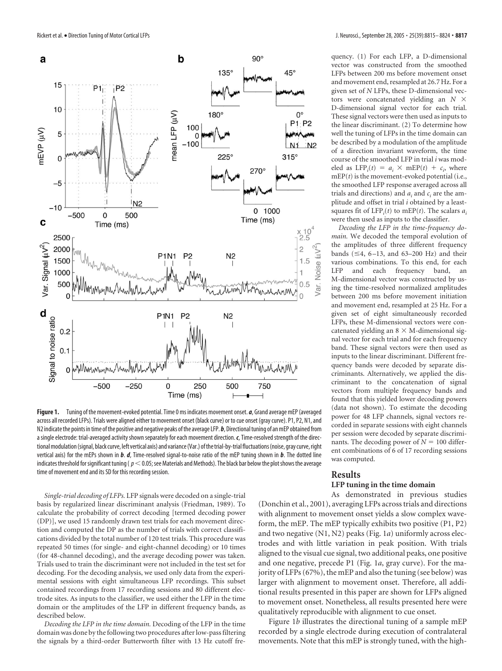

**Figure 1.** Tuning of the movement-evoked potential. Time 0 ms indicates movement onset. *a*, Grand average mEP (averaged across all recorded LFPs). Trials were aligned either to movement onset (black curve) or to cue onset (gray curve). P1, P2, N1, and N2 indicate the points in time of the positive and negative peaks of the average LFP.  $b$ , Directional tuning of an mEP obtained from a single electrode: trial-averaged activity shown separately for each movement direction. *c*, Time-resolved strength of the directional modulation (signal, black curve, left vertical axis) and variance (Var.) of the trial-by-trial fluctuations (noise, gray curve, right vertical axis) for the mEPs shown in *b*. *d*, Time-resolved signal-to-noise ratio of the mEP tuning shown in *b*. The dotted line indicates threshold for significant tuning ( $p<0.05$ ; see Materials and Methods). The black bar below the plot shows the average time of movement end and its SD for this recording session.

*Single-trial decoding of LFPs.* LFP signals were decoded on a single-trial basis by regularized linear discriminant analysis (Friedman, 1989). To calculate the probability of correct decoding [termed decoding power (DP)], we used 15 randomly drawn test trials for each movement direction and computed the DP as the number of trials with correct classifications divided by the total number of 120 test trials. This procedure was repeated 50 times (for single- and eight-channel decoding) or 10 times (for 48-channel decoding), and the average decoding power was taken. Trials used to train the discriminant were not included in the test set for decoding. For the decoding analysis, we used only data from the experimental sessions with eight simultaneous LFP recordings. This subset contained recordings from 17 recording sessions and 80 different electrode sites. As inputs to the classifier, we used either the LFP in the time domain or the amplitudes of the LFP in different frequency bands, as described below.

*Decoding the LFP in the time domain.* Decoding of the LFP in the time domain was done by the following two procedures after low-pass filtering the signals by a third-order Butterworth filter with 13 Hz cutoff frequency. (1) For each LFP, a D-dimensional vector was constructed from the smoothed LFPs between 200 ms before movement onset and movement end, resampled at 26.7 Hz. For a given set of *N* LFPs, these D-dimensional vectors were concatenated yielding an *N* D-dimensional signal vector for each trial. These signal vectors were then used as inputs to the linear discriminant. (2) To determine how well the tuning of LFPs in the time domain can be described by a modulation of the amplitude of a direction invariant waveform, the time course of the smoothed LFP in trial *i* was modeled as  $LFP_i(t) = a_i \times mEP(t) + c_i$ , where mEP(*t*) is the movement-evoked potential (i.e., the smoothed LFP response averaged across all trials and directions) and  $a_i$  and  $c_i$  are the amplitude and offset in trial *i* obtained by a leastsquares fit of  $\text{LFP}_i(t)$  to mEP(*t*). The scalars  $a_i$ were then used as inputs to the classifier.

*Decoding the LFP in the time-frequency domain.* We decoded the temporal evolution of the amplitudes of three different frequency bands ( $\leq$ 4, 6-13, and 63-200 Hz) and their various combinations. To this end, for each LFP and each frequency band, an M-dimensional vector was constructed by using the time-resolved normalized amplitudes between 200 ms before movement initiation and movement end, resampled at 25 Hz. For a given set of eight simultaneously recorded LFPs, these M-dimensional vectors were concatenated yielding an  $8 \times M$ -dimensional signal vector for each trial and for each frequency band. These signal vectors were then used as inputs to the linear discriminant. Different frequency bands were decoded by separate discriminants. Alternatively, we applied the discriminant to the concatenation of signal vectors from multiple frequency bands and found that this yielded lower decoding powers (data not shown). To estimate the decoding power for 48 LFP channels, signal vectors recorded in separate sessions with eight channels per session were decoded by separate discriminants. The decoding power of  $N = 100$  different combinations of 6 of 17 recording sessions was computed.

## **Results LFP tuning in the time domain**

As demonstrated in previous studies (Donchin et al., 2001), averaging LFPs across trials and directions with alignment to movement onset yields a slow complex waveform, the mEP. The mEP typically exhibits two positive (P1, P2) and two negative (N1, N2) peaks (Fig. 1*a*) uniformly across electrodes and with little variation in peak position. With trials aligned to the visual cue signal, two additional peaks, one positive and one negative, precede P1 (Fig. 1*a*, gray curve). For the majority of LFPs (67%), the mEP and also the tuning (see below) was larger with alignment to movement onset. Therefore, all additional results presented in this paper are shown for LFPs aligned to movement onset. Nonetheless, all results presented here were qualitatively reproducible with alignment to cue onset.

Figure 1*b* illustrates the directional tuning of a sample mEP recorded by a single electrode during execution of contralateral movements. Note that this mEP is strongly tuned, with the high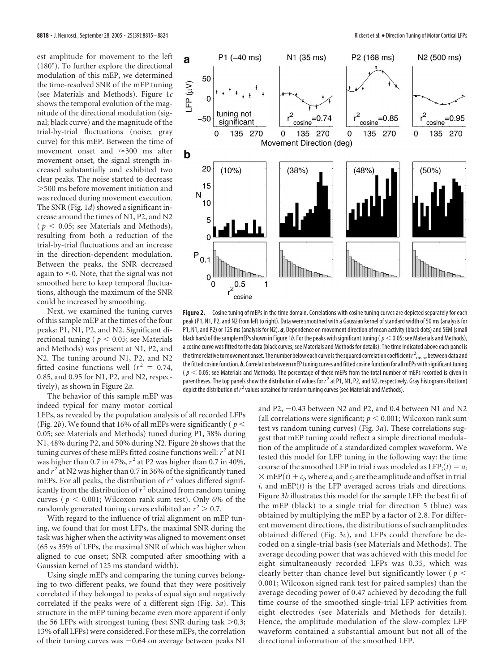est amplitude for movement to the left (180°). To further explore the directional modulation of this mEP, we determined the time-resolved SNR of the mEP tuning (see Materials and Methods). Figure 1*c* shows the temporal evolution of the magnitude of the directional modulation (signal; black curve) and the magnitude of the trial-by-trial fluctuations (noise; gray curve) for this mEP. Between the time of movement onset and  $\approx$ 300 ms after movement onset, the signal strength increased substantially and exhibited two clear peaks. The noise started to decrease -500 ms before movement initiation and was reduced during movement execution. The SNR (Fig. 1*d*) showed a significant increase around the times of N1, P2, and N2  $(p < 0.05$ ; see Materials and Methods), resulting from both a reduction of the trial-by-trial fluctuations and an increase in the direction-dependent modulation. Between the peaks, the SNR decreased again to  $\approx$  0. Note, that the signal was not smoothed here to keep temporal fluctuations, although the maximum of the SNR could be increased by smoothing.

Next, we examined the tuning curves of this sample mEP at the times of the four peaks: P1, N1, P2, and N2. Significant directional tuning ( $p < 0.05$ ; see Materials and Methods) was present at N1, P2, and N2. The tuning around N1, P2, and N2 fitted cosine functions well ( $r^2 = 0.74$ , 0.85, and 0.95 for N1, P2, and N2, respectively), as shown in Figure 2*a*.

The behavior of this sample mEP was indeed typical for many motor cortical

LFPs, as revealed by the population analysis of all recorded LFPs (Fig. 2*b*). We found that 16% of all mEPs were significantly ( $p <$ 0.05; see Materials and Methods) tuned during P1, 38% during N1, 48% during P2, and 50% during N2. Figure 2*b* shows that the tuning curves of these mEPs fitted cosine functions well:  $r^2$  at N1 was higher than 0.7 in 47%,  $r^2$  at P2 was higher than 0.7 in 40%, and  $r<sup>2</sup>$  at N2 was higher than 0.7 in 36% of the significantly tuned mEPs. For all peaks, the distribution of  $r^2$  values differed significantly from the distribution of  $r^2$  obtained from random tuning curves ( $p < 0.001$ ; Wilcoxon rank sum test). Only 6% of the randomly generated tuning curves exhibited an  $r^2 > 0.7$ .

With regard to the influence of trial alignment on mEP tuning, we found that for most LFPs, the maximal SNR during the task was higher when the activity was aligned to movement onset (65 vs 35% of LFPs, the maximal SNR of which was higher when aligned to cue onset; SNR computed after smoothing with a Gaussian kernel of 125 ms standard width).

Using single mEPs and comparing the tuning curves belonging to two different peaks, we found that they were positively correlated if they belonged to peaks of equal sign and negatively correlated if the peaks were of a different sign (Fig. 3*a*). This structure in the mEP tuning became even more apparent if only the 56 LFPs with strongest tuning (best SNR during task  $>$ 0.3; 13% of all LFPs) were considered. For these mEPs, the correlation of their tuning curves was  $-0.64$  on average between peaks N1



Figure 2. Cosine tuning of mEPs in the time domain. Correlations with cosine tuning curves are depicted separately for each peak (P1, N1, P2, and N2 from left to right). Data were smoothed with a Gaussian kernel of standard width of 50 ms (analysis for P1, N1, and P2) or 125 ms (analysis for N2). *a*, Dependence on movement direction of mean activity (black dots) and SEM (small black bars) of the sample mEPs shown in Figure 1*b*. For the peaks with significant tuning ( $p<$  0.05; see Materials and Methods), a cosine curve was fitted to the data (black curves; see Materials and Methods for details). The time indicated above each panel is the time relative to movement onset. The number below each curve is the squared correlation coefficient r<sup>2</sup> <sub>cosine</sub> between data and the fitted cosine function. *b*, Correlation between mEP tuning curves and fitted cosine function for all mEPs with significant tuning  $(p < 0.05$ ; see Materials and Methods). The percentage of these mEPs from the total number of mEPs recorded is given in parentheses. The top panels show the distribution of values for *r* 2 at P1, N1, P2, and N2, respectively. Gray histograms (bottom) .<br>depict the distribution of *r* <sup>2</sup> values obtained for random tuning curves (see Materials and Methods).

and P2,  $-0.43$  between N2 and P2, and 0.4 between N1 and N2 (all correlations were significant;  $p < 0.001$ ; Wilcoxon rank sum test vs random tuning curves) (Fig. 3*a*). These correlations suggest that mEP tuning could reflect a simple directional modulation of the amplitude of a standardized complex waveform. We tested this model for LFP tuning in the following way: the time course of the smoothed LFP in trial *i* was modeled as LFP<sub>*i*</sub>(*t*) =  $a_i$  $\times$  mEP(*t*) +  $c_i$ , where  $a_i$  and  $c_i$  are the amplitude and offset in trial *i*, and mEP(*t*) is the LFP averaged across trials and directions. Figure 3*b* illustrates this model for the sample LFP: the best fit of the mEP (black) to a single trial for direction 5 (blue) was obtained by multiplying the mEP by a factor of 2.8. For different movement directions, the distributions of such amplitudes obtained differed (Fig. 3*c*), and LFPs could therefore be decoded on a single-trial basis (see Materials and Methods). The average decoding power that was achieved with this model for eight simultaneously recorded LFPs was 0.35, which was clearly better than chance level but significantly lower ( *p* 0.001; Wilcoxon signed rank test for paired samples) than the average decoding power of 0.47 achieved by decoding the full time course of the smoothed single-trial LFP activities from eight electrodes (see Materials and Methods for details). Hence, the amplitude modulation of the slow-complex LFP waveform contained a substantial amount but not all of the directional information of the smoothed LFP.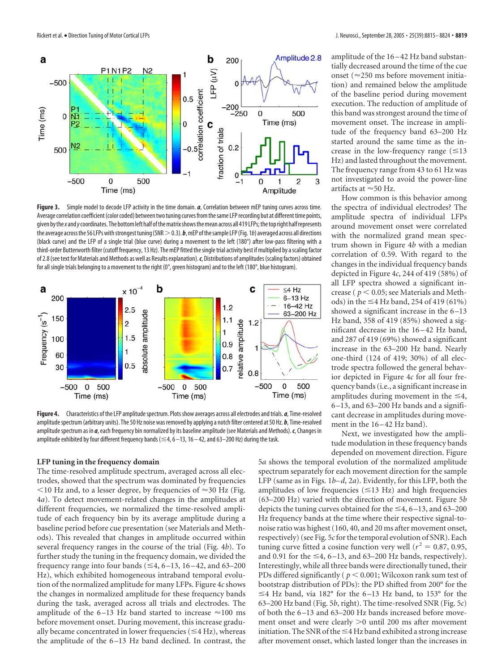

**Figure 3.** Simple model to decode LFP activity in the time domain. *a*, Correlation between mEP tuning curves across time. Average correlation coefficient (color coded) between two tuning curves from the same LFP recording but at different time points, given bythe*x*and*y*coordinates. The bottom left half ofthematrixshowsthemean across all 419 LFPs;thetopright halfrepresents the average across the 56 LFPs with strongest tuning (SNR  $>$  0.3).  $\bm{b}$ , mEP of the sample LFP (Fig. 1*b*) averaged across all directions (black curve) and the LFP of a single trial (blue curve) during a movement to the left (180°) after low-pass filtering with a third-order Butterworth filter (cutoff frequency, 13 Hz). The mEP fitted thesingle trial activity best if multiplied by ascaling factor of 2.8 (see text for Materials and Methods as well as Results explanation).*c*, Distributions of amplitudes (scaling factors) obtained for all single trials belonging to a movement to the right (0°, green histogram) and to the left (180°, blue histogram).



Figure 4. Characteristics of the LFP amplitude spectrum. Plots show averages across all electrodes and trials. *a*, Time-resolved amplitudespectrum (arbitrary units). The 50 Hz noise was removed by applying a notch filter centered at 50 Hz. *b*, Time-resolved amplitude spectrum as in *a*, each frequency bin normalized by its baseline amplitude (see Materials and Methods).*c*, Changes in amplitude exhibited by four different frequency bands ( $\leq$ 4, 6 – 13, 16 – 42, and 63–200 Hz) during the task.

## **LFP tuning in the frequency domain**

The time-resolved amplitude spectrum, averaged across all electrodes, showed that the spectrum was dominated by frequencies <10 Hz and, to a lesser degree, by frequencies of  $\approx$  30 Hz (Fig. 4*a*). To detect movement-related changes in the amplitudes at different frequencies, we normalized the time-resolved amplitude of each frequency bin by its average amplitude during a baseline period before cue presentation (see Materials and Methods). This revealed that changes in amplitude occurred within several frequency ranges in the course of the trial (Fig. 4*b*). To further study the tuning in the frequency domain, we divided the frequency range into four bands ( $\leq 4, 6-13, 16-42,$  and 63-200 Hz), which exhibited homogeneous intraband temporal evolution of the normalized amplitude for many LFPs. Figure 4*c*shows the changes in normalized amplitude for these frequency bands during the task, averaged across all trials and electrodes. The amplitude of the 6–13 Hz band started to increase  $\approx$ 100 ms before movement onset. During movement, this increase gradually became concentrated in lower frequencies ( $\leq$ 4 Hz), whereas the amplitude of the 6-13 Hz band declined. In contrast, the

amplitude of the 16 –42 Hz band substantially decreased around the time of the cue onset ( $\approx$ 250 ms before movement initiation) and remained below the amplitude of the baseline period during movement execution. The reduction of amplitude of this band was strongest around the time of movement onset. The increase in amplitude of the frequency band 63–200 Hz started around the same time as the increase in the low-frequency range  $(\leq 13)$ Hz) and lasted throughout the movement. The frequency range from 43 to 61 Hz was not investigated to avoid the power-line artifacts at  $\approx$  50 Hz.

How common is this behavior among the spectra of individual electrodes? The amplitude spectra of individual LFPs around movement onset were correlated with the normalized grand mean spectrum shown in Figure 4*b* with a median correlation of 0.59. With regard to the changes in the individual frequency bands depicted in Figure 4*c*, 244 of 419 (58%) of all LFP spectra showed a significant increase ( $p < 0.05$ ; see Materials and Methods) in the  $\leq$ 4 Hz band, 254 of 419 (61%) showed a significant increase in the  $6-13$ Hz band, 358 of 419 (85%) showed a significant decrease in the 16 –42 Hz band, and 287 of 419 (69%) showed a significant increase in the 63–200 Hz band. Nearly one-third (124 of 419; 30%) of all electrode spectra followed the general behavior depicted in Figure 4*c* for all four frequency bands (i.e., a significant increase in amplitudes during movement in the  $\leq 4$ , 6 –13, and 63–200 Hz bands and a significant decrease in amplitudes during movement in the  $16 - 42$  Hz band).

Next, we investigated how the amplitude modulation in these frequency bands depended on movement direction. Figure

5*a* shows the temporal evolution of the normalized amplitude spectrum separately for each movement direction for the sample LFP (same as in Figs. 1*b–d*, 2*a*). Evidently, for this LFP, both the amplitudes of low frequencies  $(\leq 13$  Hz) and high frequencies (63–200 Hz) varied with the direction of movement. Figure 5*b* depicts the tuning curves obtained for the  $\leq 4, 6-13$ , and 63-200 Hz frequency bands at the time where their respective signal-tonoise ratio was highest (160, 40, and 20 ms after movement onset, respectively) (see Fig. 5*c*for the temporal evolution of SNR). Each tuning curve fitted a cosine function very well ( $r^2 = 0.87, 0.95$ , and 0.91 for the  $\leq$ 4, 6–13, and 63–200 Hz bands, respectively). Interestingly, while all three bands were directionally tuned, their PDs differed significantly ( $p < 0.001$ ; Wilcoxon rank sum test of bootstrap distribution of PDs): the PD shifted from 200° for the  $\leq$ 4 Hz band, via 182° for the 6-13 Hz band, to 153° for the 63–200 Hz band (Fig. 5*b*, right). The time-resolved SNR (Fig. 5*c*) of both the 6 –13 and 63–200 Hz bands increased before movement onset and were clearly -0 until 200 ms after movement initiation. The SNR of the  $\leq$ 4 Hz band exhibited a strong increase after movement onset, which lasted longer than the increases in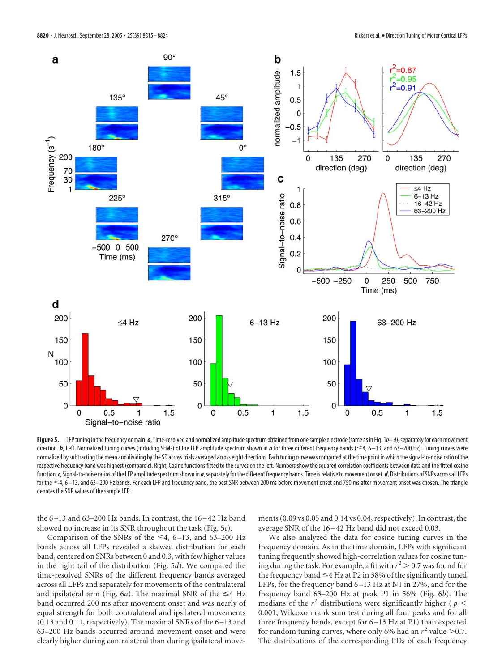

Figure 5. LFP tuning in the frequency domain. *a*, Time-resolved and normalized amplitude spectrum obtained from one sample electrode (same as in Fig. 1*b–d*), separately for each movement direction.  $b$ , Left, Normalized tuning curves (including SEMs) of the LFP amplitude spectrum shown in *a* for three different frequency bands ( $\leq 4$ , 6-13, and 63-200 Hz). Tuning curves were normalized by subtracting the mean and dividing by the SD across trials averaged across eight directions. Each tuning curve was computed at the time point in which the signal-to-noise ratio of the respective frequency band was highest (compare c). Right, Cosine functions fitted to the curves on the left. Numbers show the squared correlation coefficients between data and the fitted cosine function.*c*, Signal-to-noiseratios ofthe LFP amplitudespectrumshown in *a*,separately forthe different frequency bands. Time isrelativetomovement onset. *d*, Distributions of SNRs across all LFPs for the  $\leq$ 4, 6 –13, and 63–200 Hz bands. For each LFP and frequency band, the best SNR between 200 ms before movement onset and 750 ms after movement onset was chosen. The triangle denotes the SNR values of the sample LFP.

the 6 –13 and 63–200 Hz bands. In contrast, the 16 –42 Hz band showed no increase in its SNR throughout the task (Fig. 5*c*).

Comparison of the SNRs of the  $\leq 4$ , 6-13, and 63-200 Hz bands across all LFPs revealed a skewed distribution for each band, centered on SNRs between 0 and 0.3, with few higher values in the right tail of the distribution (Fig. 5*d*). We compared the time-resolved SNRs of the different frequency bands averaged across all LFPs and separately for movements of the contralateral and ipsilateral arm (Fig. 6*a*). The maximal SNR of the  $\leq$ 4 Hz band occurred 200 ms after movement onset and was nearly of equal strength for both contralateral and ipsilateral movements (0.13 and 0.11, respectively). The maximal SNRs of the 6 –13 and 63–200 Hz bands occurred around movement onset and were clearly higher during contralateral than during ipsilateral movements (0.09 vs 0.05 and 0.14 vs 0.04, respectively). In contrast, the average SNR of the 16 –42 Hz band did not exceed 0.03.

We also analyzed the data for cosine tuning curves in the frequency domain. As in the time domain, LFPs with significant tuning frequently showed high-correlation values for cosine tuning during the task. For example, a fit with  $r^2 > 0.7$  was found for the frequency band  $\leq 4$  Hz at P2 in 38% of the significantly tuned LFPs, for the frequency band 6 –13 Hz at N1 in 27%, and for the frequency band 63–200 Hz at peak P1 in 56% (Fig. 6*b*). The medians of the  $r^2$  distributions were significantly higher ( $p <$ 0.001; Wilcoxon rank sum test during all four peaks and for all three frequency bands, except for 6 –13 Hz at P1) than expected for random tuning curves, where only 6% had an  $r^2$  value >0.7. The distributions of the corresponding PDs of each frequency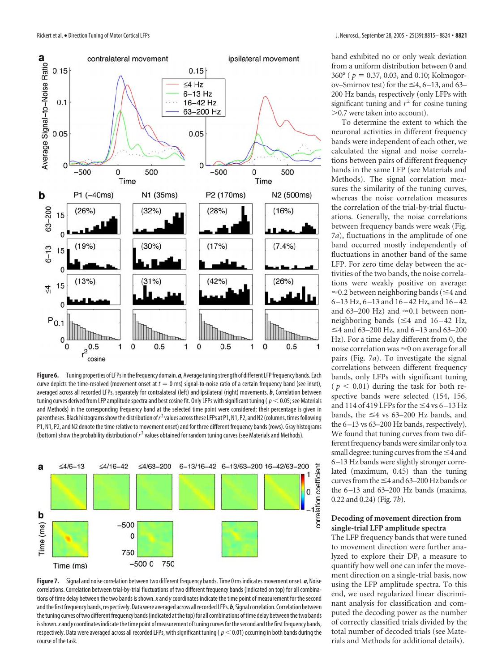

Figure 6. Tuning properties of LFPs in the frequency domain. *a*, Average tuning strength of different LFP frequency bands. Each curve depicts the time-resolved (movement onset at  $t = 0$  ms) signal-to-noise ratio of a certain frequency band (see inset), averaged across all recorded LFPs, separately for contralateral (left) and ipsilateral (right) movements. *b*, Correlation between tuning curves derived from LFP amplitude spectra and best cosine fit. Only LFPs with significant tuning ( $p < 0.05$ ; see Materials and Methods) in the corresponding frequency band at the selected time point were considered; their percentage is given in parentheses. Black histograms show the distribution of r<sup>2</sup> values across these LFPs at P1, N1, P2, and N2 (columns, times following P1, N1, P2, and N2 denote the time relative to movement onset) and for three different frequency bands (rows). Gray histograms (bottom) show the probability distribution of r<sup>2</sup> values obtained for random tuning curves (see Materials and Methods).



**Figure 7.** Signal and noise correlation between two different frequency bands. Time 0 ms indicates movement onset. *a*, Noise correlations. Correlation between trial-by-trial fluctuations of two different frequency bands (indicated on top) for all combinations of time delay between the two bands is shown.*x*and*y*coordinates indicate the time point of measurement for the second and the first frequency bands, respectively. Data were averaged across all recorded LFPs. *b*, Signal correlation. Correlation between the tuning curves of two different frequency bands (indicated at the top) for all combinations of time delay between the two bands is shown.*x* and y coordinates indicate the time point of measurement of tuning curves for the second and the first frequency bands, respectively. Data were averaged across all recorded LFPs, with significant tuning ( $p < 0.01$ ) occurring in both bands during the course of the task.

band exhibited no or only weak deviation from a uniform distribution between 0 and  $360^{\circ}$  ( $p = 0.37, 0.03,$  and 0.10; Kolmogorov–Smirnov test) for the  $\leq 4, 6-13$ , and 63– 200 Hz bands, respectively (only LFPs with significant tuning and  $r^2$  for cosine tuning -0.7 were taken into account).

To determine the extent to which the neuronal activities in different frequency bands were independent of each other, we calculated the signal and noise correlations between pairs of different frequency bands in the same LFP (see Materials and Methods). The signal correlation measures the similarity of the tuning curves, whereas the noise correlation measures the correlation of the trial-by-trial fluctuations. Generally, the noise correlations between frequency bands were weak (Fig. 7*a*), fluctuations in the amplitude of one band occurred mostly independently of fluctuations in another band of the same LFP. For zero time delay between the activities of the two bands, the noise correlations were weakly positive on average:  $\approx$  0.2 between neighboring bands ( $\leq$ 4 and 6 –13 Hz, 6 –13 and 16 –42 Hz, and 16 –42 and 63–200 Hz) and  $\approx$  0.1 between nonneighboring bands ( $\leq$ 4 and 16-42 Hz,  $\leq$ 4 and 63–200 Hz, and 6–13 and 63–200 Hz). For a time delay different from 0, the noise correlation was  $\approx 0$  on average for all pairs (Fig. 7*a*). To investigate the signal correlations between different frequency bands, only LFPs with significant tuning ( $p < 0.01$ ) during the task for both respective bands were selected (154, 156, and 114 of 419 LFPs for the  $\leq$ 4 vs 6 –13 Hz bands, the  $\leq$ 4 vs 63–200 Hz bands, and the  $6-13$  vs  $63-200$  Hz bands, respectively). We found that tuning curves from two different frequency bands were similar only to a small degree: tuning curves from the  $\leq 4$  and 6 –13 Hz bands were slightly stronger correlated (maximum, 0.45) than the tuning curves from the  $\leq$ 4 and 63–200 Hz bands or the  $6-13$  and  $63-200$  Hz bands (maxima, 0.22 and 0.24) (Fig. 7*b*).

### **Decoding of movement direction from single-trial LFP amplitude spectra**

The LFP frequency bands that were tuned to movement direction were further analyzed to explore their DP, a measure to quantify how well one can infer the movement direction on a single-trial basis, now using the LFP amplitude spectra. To this end, we used regularized linear discriminant analysis for classification and computed the decoding power as the number of correctly classified trials divided by the total number of decoded trials (see Materials and Methods for additional details).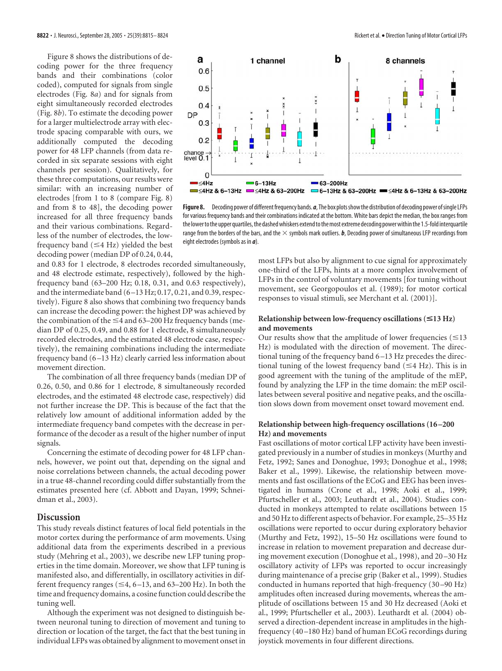Figure 8 shows the distributions of decoding power for the three frequency bands and their combinations (color coded), computed for signals from single electrodes (Fig. 8*a*) and for signals from eight simultaneously recorded electrodes (Fig. 8*b*). To estimate the decoding power for a larger multielectrode array with electrode spacing comparable with ours, we additionally computed the decoding power for 48 LFP channels (from data recorded in six separate sessions with eight channels per session). Qualitatively, for these three computations, our results were similar: with an increasing number of electrodes [from 1 to 8 (compare Fig. 8) and from 8 to 48], the decoding power increased for all three frequency bands and their various combinations. Regardless of the number of electrodes, the lowfrequency band  $(\leq 4$  Hz) yielded the best decoding power (median DP of 0.24, 0.44,

and 0.83 for 1 electrode, 8 electrodes recorded simultaneously, and 48 electrode estimate, respectively), followed by the highfrequency band (63–200 Hz; 0.18, 0.31, and 0.63 respectively), and the intermediate band (6 –13 Hz; 0.17, 0.21, and 0.39, respectively). Figure 8 also shows that combining two frequency bands can increase the decoding power: the highest DP was achieved by the combination of the  $\leq$ 4 and 63–200 Hz frequency bands (median DP of 0.25, 0.49, and 0.88 for 1 electrode, 8 simultaneously recorded electrodes, and the estimated 48 electrode case, respectively), the remaining combinations including the intermediate frequency band (6 –13 Hz) clearly carried less information about movement direction.

eight electrodes (symbols as in *a*).

The combination of all three frequency bands (median DP of 0.26, 0.50, and 0.86 for 1 electrode, 8 simultaneously recorded electrodes, and the estimated 48 electrode case, respectively) did not further increase the DP. This is because of the fact that the relatively low amount of additional information added by the intermediate frequency band competes with the decrease in performance of the decoder as a result of the higher number of input signals.

Concerning the estimate of decoding power for 48 LFP channels, however, we point out that, depending on the signal and noise correlations between channels, the actual decoding power in a true 48-channel recording could differ substantially from the estimates presented here (cf. Abbott and Dayan, 1999; Schneidman et al., 2003).

## **Discussion**

This study reveals distinct features of local field potentials in the motor cortex during the performance of arm movements. Using additional data from the experiments described in a previous study (Mehring et al., 2003), we describe new LFP tuning properties in the time domain. Moreover, we show that LFP tuning is manifested also, and differentially, in oscillatory activities in different frequency ranges ( $\leq$ 4, 6-13, and 63-200 Hz). In both the time and frequency domains, a cosine function could describe the tuning well.

Although the experiment was not designed to distinguish between neuronal tuning to direction of movement and tuning to direction or location of the target, the fact that the best tuning in individual LFPs was obtained by alignment to movement onset in most LFPs but also by alignment to cue signal for approximately one-third of the LFPs, hints at a more complex involvement of LFPs in the control of voluntary movements [for tuning without movement, see Georgopoulos et al. (1989); for motor cortical responses to visual stimuli, see Merchant et al. (2001)].

## **Relationship between low-frequency oscillations (**<**13 Hz) and movements**

Our results show that the amplitude of lower frequencies  $(\leq 13)$ Hz) is modulated with the direction of movement. The directional tuning of the frequency band 6 –13 Hz precedes the directional tuning of the lowest frequency band  $(\leq 4$  Hz). This is in good agreement with the tuning of the amplitude of the mEP, found by analyzing the LFP in the time domain: the mEP oscillates between several positive and negative peaks, and the oscillation slows down from movement onset toward movement end.

## **Relationship between high-frequency oscillations (16 –200 Hz) and movements**

Fast oscillations of motor cortical LFP activity have been investigated previously in a number of studies in monkeys (Murthy and Fetz, 1992; Sanes and Donoghue, 1993; Donoghue et al., 1998; Baker et al., 1999). Likewise, the relationship between movements and fast oscillations of the ECoG and EEG has been investigated in humans (Crone et al., 1998; Aoki et al., 1999; Pfurtscheller et al., 2003; Leuthardt et al., 2004). Studies conducted in monkeys attempted to relate oscillations between 15 and 50 Hz to different aspects of behavior. For example, 25–35 Hz oscillations were reported to occur during exploratory behavior (Murthy and Fetz, 1992), 15–50 Hz oscillations were found to increase in relation to movement preparation and decrease during movement execution (Donoghue et al., 1998), and 20 –30 Hz oscillatory activity of LFPs was reported to occur increasingly during maintenance of a precise grip (Baker et al., 1999). Studies conducted in humans reported that high-frequency (30 –90 Hz) amplitudes often increased during movements, whereas the amplitude of oscillations between 15 and 30 Hz decreased (Aoki et al., 1999; Pfurtscheller et al., 2003). Leuthardt et al. (2004) observed a direction-dependent increase in amplitudes in the highfrequency (40 –180 Hz) band of human ECoG recordings during joystick movements in four different directions.



**Figure 8.** Decoding power of differentfrequency bands. *a*, The box plotsshowthe distribution of decoding power ofsingle LFPs for various frequency bands and their combinations indicated at the bottom. White bars depict the median, the box ranges from the lower to the upper quartiles, the dashed whiskers extend to the most extreme decoding power within the 1.5-fold interquartile range from the borders of the bars, and the  $\times$  symbols mark outliers.  $b$ , Decoding power of simultaneous LFP recordings from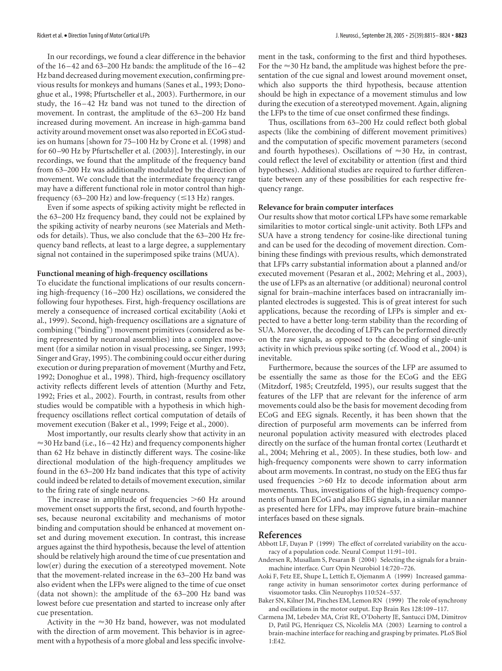In our recordings, we found a clear difference in the behavior of the  $16 - 42$  and  $63 - 200$  Hz bands: the amplitude of the  $16 - 42$ Hz band decreased during movement execution, confirming previous results for monkeys and humans (Sanes et al., 1993; Donoghue et al., 1998; Pfurtscheller et al., 2003). Furthermore, in our study, the 16 –42 Hz band was not tuned to the direction of movement. In contrast, the amplitude of the 63–200 Hz band increased during movement. An increase in high-gamma band activity around movement onset was also reported in ECoG studies on humans [shown for 75–100 Hz by Crone et al. (1998) and for 60 –90 Hz by Pfurtscheller et al. (2003)]. Interestingly, in our recordings, we found that the amplitude of the frequency band from 63–200 Hz was additionally modulated by the direction of movement. We conclude that the intermediate frequency range may have a different functional role in motor control than highfrequency (63–200 Hz) and low-frequency ( $\leq$ 13 Hz) ranges.

Even if some aspects of spiking activity might be reflected in the 63–200 Hz frequency band, they could not be explained by the spiking activity of nearby neurons (see Materials and Methods for details). Thus, we also conclude that the 63–200 Hz frequency band reflects, at least to a large degree, a supplementary signal not contained in the superimposed spike trains (MUA).

#### **Functional meaning of high-frequency oscillations**

To elucidate the functional implications of our results concerning high-frequency (16 –200 Hz) oscillations, we considered the following four hypotheses. First, high-frequency oscillations are merely a consequence of increased cortical excitability (Aoki et al., 1999). Second, high-frequency oscillations are a signature of combining ("binding") movement primitives (considered as being represented by neuronal assemblies) into a complex movement (for a similar notion in visual processing, see Singer, 1993; Singer and Gray, 1995). The combining could occur either during execution or during preparation of movement (Murthy and Fetz, 1992; Donoghue et al., 1998). Third, high-frequency oscillatory activity reflects different levels of attention (Murthy and Fetz, 1992; Fries et al., 2002). Fourth, in contrast, results from other studies would be compatible with a hypothesis in which highfrequency oscillations reflect cortical computation of details of movement execution (Baker et al., 1999; Feige et al., 2000).

Most importantly, our results clearly show that activity in an  $\approx$  30 Hz band (i.e., 16 – 42 Hz) and frequency components higher than 62 Hz behave in distinctly different ways. The cosine-like directional modulation of the high-frequency amplitudes we found in the 63–200 Hz band indicates that this type of activity could indeed be related to details of movement execution, similar to the firing rate of single neurons.

The increase in amplitude of frequencies >60 Hz around movement onset supports the first, second, and fourth hypotheses, because neuronal excitability and mechanisms of motor binding and computation should be enhanced at movement onset and during movement execution. In contrast, this increase argues against the third hypothesis, because the level of attention should be relatively high around the time of cue presentation and low(er) during the execution of a stereotyped movement. Note that the movement-related increase in the 63–200 Hz band was also evident when the LFPs were aligned to the time of cue onset (data not shown): the amplitude of the 63–200 Hz band was lowest before cue presentation and started to increase only after cue presentation.

Activity in the  $\approx$ 30 Hz band, however, was not modulated with the direction of arm movement. This behavior is in agreement with a hypothesis of a more global and less specific involvement in the task, conforming to the first and third hypotheses. For the  $\approx$  30 Hz band, the amplitude was highest before the presentation of the cue signal and lowest around movement onset, which also supports the third hypothesis, because attention should be high in expectance of a movement stimulus and low during the execution of a stereotyped movement. Again, aligning the LFPs to the time of cue onset confirmed these findings.

Thus, oscillations from 63–200 Hz could reflect both global aspects (like the combining of different movement primitives) and the computation of specific movement parameters (second and fourth hypotheses). Oscillations of  $\approx$ 30 Hz, in contrast, could reflect the level of excitability or attention (first and third hypotheses). Additional studies are required to further differentiate between any of these possibilities for each respective frequency range.

#### **Relevance for brain computer interfaces**

Our results show that motor cortical LFPs have some remarkable similarities to motor cortical single-unit activity. Both LFPs and SUA have a strong tendency for cosine-like directional tuning and can be used for the decoding of movement direction. Combining these findings with previous results, which demonstrated that LFPs carry substantial information about a planned and/or executed movement (Pesaran et al., 2002; Mehring et al., 2003), the use of LFPs as an alternative (or additional) neuronal control signal for brain–machine interfaces based on intracranially implanted electrodes is suggested. This is of great interest for such applications, because the recording of LFPs is simpler and expected to have a better long-term stability than the recording of SUA. Moreover, the decoding of LFPs can be performed directly on the raw signals, as opposed to the decoding of single-unit activity in which previous spike sorting (cf. Wood et al., 2004) is inevitable.

Furthermore, because the sources of the LFP are assumed to be essentially the same as those for the ECoG and the EEG (Mitzdorf, 1985; Creutzfeld, 1995), our results suggest that the features of the LFP that are relevant for the inference of arm movements could also be the basis for movement decoding from ECoG and EEG signals. Recently, it has been shown that the direction of purposeful arm movements can be inferred from neuronal population activity measured with electrodes placed directly on the surface of the human frontal cortex (Leuthardt et al., 2004; Mehring et al., 2005). In these studies, both low- and high-frequency components were shown to carry information about arm movements. In contrast, no study on the EEG thus far used frequencies -60 Hz to decode information about arm movements. Thus, investigations of the high-frequency components of human ECoG and also EEG signals, in a similar manner as presented here for LFPs, may improve future brain–machine interfaces based on these signals.

#### **References**

- Abbott LF, Dayan P (1999) The effect of correlated variability on the accuracy of a population code. Neural Comput 11:91–101.
- Andersen R, Musallam S, Pesaran B (2004) Selecting the signals for a brainmachine interface. Curr Opin Neurobiol 14:720 –726.
- Aoki F, Fetz EE, Shupe L, Lettich E, Ojemanm A (1999) Increased gammarange activity in human sensorimotor cortex during performance of visuomotor tasks. Clin Neurophys 110:524 –537.
- Baker SN, Kilner JM, Pinches EM, Lemon RN (1999) The role of synchrony and oscillations in the motor output. Exp Brain Res 128:109 –117.
- Carmena JM, Lebedev MA, Crist RE, O'Doherty JE, Santucci DM, Dimitrov D, Patil PG, Henriquez CS, Nicolelis MA (2003) Learning to control a brain-machine interface for reaching and grasping by primates. PLoS Biol 1:E42.